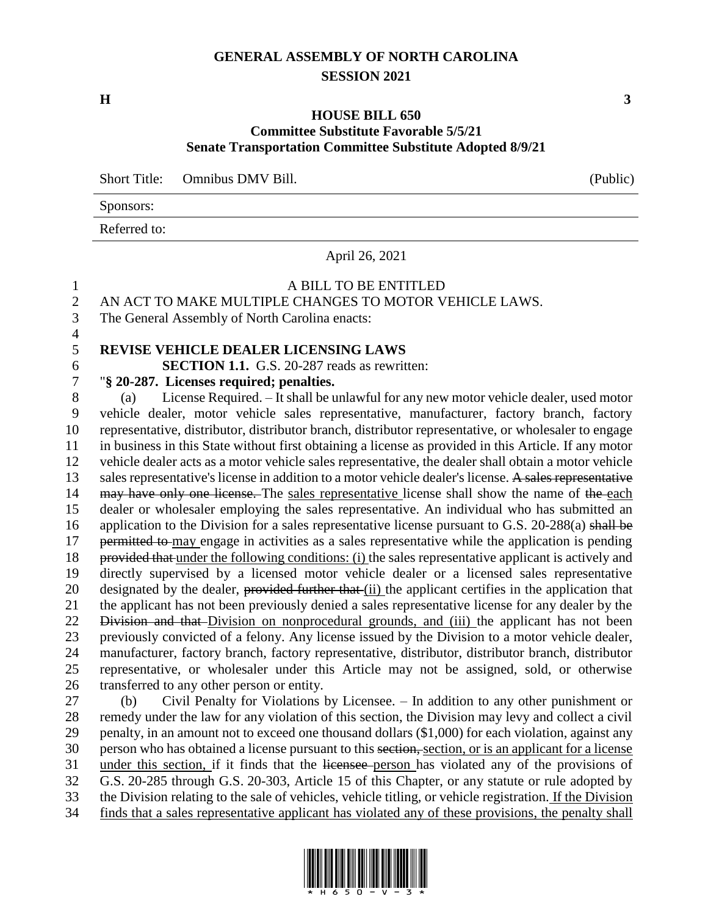# **GENERAL ASSEMBLY OF NORTH CAROLINA SESSION 2021**

**H 3**

4

#### **HOUSE BILL 650 Committee Substitute Favorable 5/5/21 Senate Transportation Committee Substitute Adopted 8/9/21**

Short Title: Omnibus DMV Bill. (Public)

Sponsors:

Referred to:

April 26, 2021

# 1 A BILL TO BE ENTITLED

2 AN ACT TO MAKE MULTIPLE CHANGES TO MOTOR VEHICLE LAWS.

3 The General Assembly of North Carolina enacts:

# 5 **REVISE VEHICLE DEALER LICENSING LAWS**

6 **SECTION 1.1.** G.S. 20-287 reads as rewritten:

#### 7 "**§ 20-287. Licenses required; penalties.**

 (a) License Required. – It shall be unlawful for any new motor vehicle dealer, used motor vehicle dealer, motor vehicle sales representative, manufacturer, factory branch, factory representative, distributor, distributor branch, distributor representative, or wholesaler to engage in business in this State without first obtaining a license as provided in this Article. If any motor vehicle dealer acts as a motor vehicle sales representative, the dealer shall obtain a motor vehicle 13 sales representative's license in addition to a motor vehicle dealer's license. A sales representative 14 may have only one license. The sales representative license shall show the name of the each dealer or wholesaler employing the sales representative. An individual who has submitted an 16 application to the Division for a sales representative license pursuant to G.S. 20-288(a) shall be 17 permitted to may engage in activities as a sales representative while the application is pending provided that under the following conditions: (i) the sales representative applicant is actively and directly supervised by a licensed motor vehicle dealer or a licensed sales representative 20 designated by the dealer, provided further that (ii) the applicant certifies in the application that the applicant has not been previously denied a sales representative license for any dealer by the 22 Division and that Division on nonprocedural grounds, and (iii) the applicant has not been previously convicted of a felony. Any license issued by the Division to a motor vehicle dealer, manufacturer, factory branch, factory representative, distributor, distributor branch, distributor representative, or wholesaler under this Article may not be assigned, sold, or otherwise transferred to any other person or entity. (b) Civil Penalty for Violations by Licensee. – In addition to any other punishment or

 remedy under the law for any violation of this section, the Division may levy and collect a civil penalty, in an amount not to exceed one thousand dollars (\$1,000) for each violation, against any 30 person who has obtained a license pursuant to this section, section, or is an applicant for a license under this section, if it finds that the licensee person has violated any of the provisions of G.S. 20-285 through G.S. 20-303, Article 15 of this Chapter, or any statute or rule adopted by the Division relating to the sale of vehicles, vehicle titling, or vehicle registration. If the Division finds that a sales representative applicant has violated any of these provisions, the penalty shall

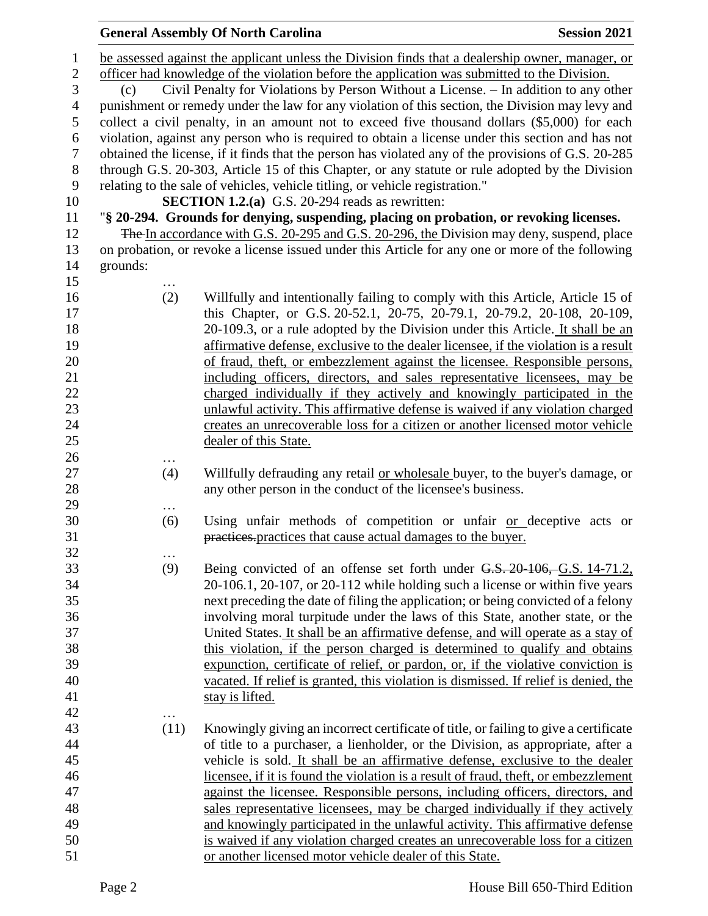|                |          | <b>General Assembly Of North Carolina</b>                                                           | <b>Session 2021</b> |
|----------------|----------|-----------------------------------------------------------------------------------------------------|---------------------|
| 1              |          | be assessed against the applicant unless the Division finds that a dealership owner, manager, or    |                     |
| $\mathbf{2}$   |          | officer had knowledge of the violation before the application was submitted to the Division.        |                     |
| 3              | (c)      | Civil Penalty for Violations by Person Without a License. – In addition to any other                |                     |
| $\overline{4}$ |          | punishment or remedy under the law for any violation of this section, the Division may levy and     |                     |
| 5              |          | collect a civil penalty, in an amount not to exceed five thousand dollars (\$5,000) for each        |                     |
| 6              |          | violation, against any person who is required to obtain a license under this section and has not    |                     |
| $\tau$         |          | obtained the license, if it finds that the person has violated any of the provisions of G.S. 20-285 |                     |
| $8\,$          |          | through G.S. 20-303, Article 15 of this Chapter, or any statute or rule adopted by the Division     |                     |
| $\mathbf{9}$   |          | relating to the sale of vehicles, vehicle titling, or vehicle registration."                        |                     |
| 10             |          | SECTION 1.2.(a) G.S. 20-294 reads as rewritten:                                                     |                     |
| 11             |          | "§ 20-294. Grounds for denying, suspending, placing on probation, or revoking licenses.             |                     |
| 12             |          | The In accordance with G.S. 20-295 and G.S. 20-296, the Division may deny, suspend, place           |                     |
| 13             |          | on probation, or revoke a license issued under this Article for any one or more of the following    |                     |
| 14             | grounds: |                                                                                                     |                     |
| 15             |          |                                                                                                     |                     |
| 16             | (2)      | Willfully and intentionally failing to comply with this Article, Article 15 of                      |                     |
| 17             |          | this Chapter, or G.S. 20-52.1, 20-75, 20-79.1, 20-79.2, 20-108, 20-109,                             |                     |
| 18             |          | 20-109.3, or a rule adopted by the Division under this Article. It shall be an                      |                     |
| 19             |          | affirmative defense, exclusive to the dealer licensee, if the violation is a result                 |                     |
| 20             |          | of fraud, theft, or embezzlement against the licensee. Responsible persons,                         |                     |
| 21             |          | including officers, directors, and sales representative licensees, may be                           |                     |
| 22             |          | charged individually if they actively and knowingly participated in the                             |                     |
| 23             |          | unlawful activity. This affirmative defense is waived if any violation charged                      |                     |
| 24             |          | creates an unrecoverable loss for a citizen or another licensed motor vehicle                       |                     |
| 25             |          | dealer of this State.                                                                               |                     |
| 26             |          |                                                                                                     |                     |
| 27             | (4)      | Willfully defrauding any retail or wholesale buyer, to the buyer's damage, or                       |                     |
| 28             |          | any other person in the conduct of the licensee's business.                                         |                     |
| 29             | $\cdots$ |                                                                                                     |                     |
| 30             | (6)      | Using unfair methods of competition or unfair or deceptive acts or                                  |                     |
| 31             |          | practices.practices that cause actual damages to the buyer.                                         |                     |
| 32             | $\cdots$ |                                                                                                     |                     |
| 33             | (9)      | Being convicted of an offense set forth under G.S. 20-106, G.S. 14-71.2,                            |                     |
| 34             |          | 20-106.1, 20-107, or 20-112 while holding such a license or within five years                       |                     |
| 35             |          | next preceding the date of filing the application; or being convicted of a felony                   |                     |
| 36             |          | involving moral turpitude under the laws of this State, another state, or the                       |                     |
| 37             |          | United States. It shall be an affirmative defense, and will operate as a stay of                    |                     |
| 38             |          | this violation, if the person charged is determined to qualify and obtains                          |                     |
| 39             |          | expunction, certificate of relief, or pardon, or, if the violative conviction is                    |                     |
| 40             |          | vacated. If relief is granted, this violation is dismissed. If relief is denied, the                |                     |
| 41             |          | stay is lifted.                                                                                     |                     |
| 42             | $\cdots$ |                                                                                                     |                     |
| 43             | (11)     | Knowingly giving an incorrect certificate of title, or failing to give a certificate                |                     |
| 44             |          | of title to a purchaser, a lienholder, or the Division, as appropriate, after a                     |                     |
| 45             |          | vehicle is sold. It shall be an affirmative defense, exclusive to the dealer                        |                     |
| 46             |          | licensee, if it is found the violation is a result of fraud, theft, or embezzlement                 |                     |
| 47             |          | against the licensee. Responsible persons, including officers, directors, and                       |                     |
| 48             |          | sales representative licensees, may be charged individually if they actively                        |                     |
| 49             |          | and knowingly participated in the unlawful activity. This affirmative defense                       |                     |
| 50             |          | is waived if any violation charged creates an unrecoverable loss for a citizen                      |                     |
| 51             |          | or another licensed motor vehicle dealer of this State.                                             |                     |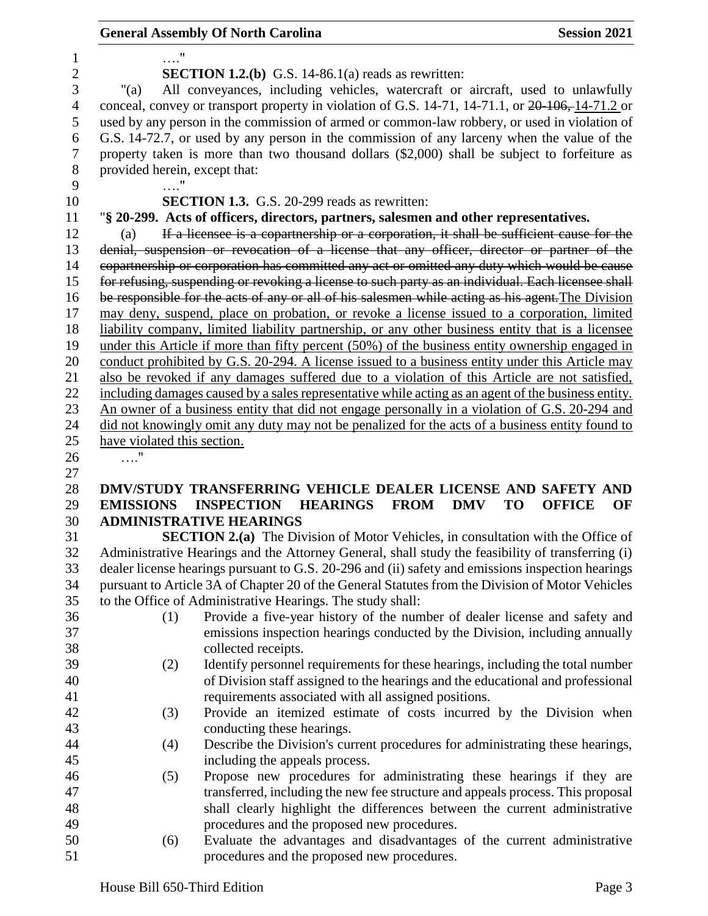|                  |                               | <b>General Assembly Of North Carolina</b>                                                                                                                                                        | <b>Session 2021</b>              |
|------------------|-------------------------------|--------------------------------------------------------------------------------------------------------------------------------------------------------------------------------------------------|----------------------------------|
| 1                | 11                            |                                                                                                                                                                                                  |                                  |
| $\boldsymbol{2}$ |                               | <b>SECTION 1.2.(b)</b> G.S. 14-86.1(a) reads as rewritten:                                                                                                                                       |                                  |
| 3                | " $(a)$                       | All conveyances, including vehicles, watercraft or aircraft, used to unlawfully                                                                                                                  |                                  |
| $\overline{4}$   |                               | conceal, convey or transport property in violation of G.S. 14-71, 14-71.1, or 20-106, 14-71.2 or                                                                                                 |                                  |
| 5                |                               | used by any person in the commission of armed or common-law robbery, or used in violation of                                                                                                     |                                  |
| 6                |                               | G.S. 14-72.7, or used by any person in the commission of any larceny when the value of the                                                                                                       |                                  |
| $\tau$           |                               | property taken is more than two thousand dollars (\$2,000) shall be subject to forfeiture as                                                                                                     |                                  |
| 8                | provided herein, except that: |                                                                                                                                                                                                  |                                  |
| 9                |                               |                                                                                                                                                                                                  |                                  |
| 10               |                               | <b>SECTION 1.3.</b> G.S. 20-299 reads as rewritten:                                                                                                                                              |                                  |
| 11               |                               | "§ 20-299. Acts of officers, directors, partners, salesmen and other representatives.                                                                                                            |                                  |
| 12               | (a)                           | If a licensee is a copartnership or a corporation, it shall be sufficient cause for the                                                                                                          |                                  |
| 13               |                               | denial, suspension or revocation of a license that any officer, director or partner of the                                                                                                       |                                  |
| 14               |                               | copartnership or corporation has committed any act or omitted any duty which would be cause                                                                                                      |                                  |
| 15               |                               | for refusing, suspending or revoking a license to such party as an individual. Each licensee shall                                                                                               |                                  |
| 16               |                               | be responsible for the acts of any or all of his salesmen while acting as his agent. The Division                                                                                                |                                  |
| 17               |                               |                                                                                                                                                                                                  |                                  |
| 18               |                               | may deny, suspend, place on probation, or revoke a license issued to a corporation, limited<br>liability company, limited liability partnership, or any other business entity that is a licensee |                                  |
| 19               |                               |                                                                                                                                                                                                  |                                  |
|                  |                               | under this Article if more than fifty percent (50%) of the business entity ownership engaged in                                                                                                  |                                  |
| 20<br>21         |                               | conduct prohibited by G.S. 20-294. A license issued to a business entity under this Article may                                                                                                  |                                  |
|                  |                               | also be revoked if any damages suffered due to a violation of this Article are not satisfied,                                                                                                    |                                  |
| 22<br>23         |                               | including damages caused by a sales representative while acting as an agent of the business entity.                                                                                              |                                  |
| 24               |                               | <u>An owner of a business entity that did not engage personally in a violation of G.S. 20-294 and</u>                                                                                            |                                  |
| 25               | have violated this section.   | did not knowingly omit any duty may not be penalized for the acts of a business entity found to                                                                                                  |                                  |
| 26               |                               |                                                                                                                                                                                                  |                                  |
| 27               |                               |                                                                                                                                                                                                  |                                  |
| 28               |                               | DMV/STUDY TRANSFERRING VEHICLE DEALER LICENSE AND SAFETY AND                                                                                                                                     |                                  |
| 29               | <b>EMISSIONS</b>              | <b>INSPECTION</b><br><b>HEARINGS</b><br><b>FROM</b><br><b>DMV</b>                                                                                                                                | <b>TO</b><br><b>OFFICE</b><br>OF |
| 30               |                               | <b>ADMINISTRATIVE HEARINGS</b>                                                                                                                                                                   |                                  |
| 31               |                               | <b>SECTION 2.(a)</b> The Division of Motor Vehicles, in consultation with the Office of                                                                                                          |                                  |
| 32               |                               | Administrative Hearings and the Attorney General, shall study the feasibility of transferring (i)                                                                                                |                                  |
| 33               |                               | dealer license hearings pursuant to G.S. 20-296 and (ii) safety and emissions inspection hearings                                                                                                |                                  |
| 34               |                               | pursuant to Article 3A of Chapter 20 of the General Statutes from the Division of Motor Vehicles                                                                                                 |                                  |
| 35               |                               | to the Office of Administrative Hearings. The study shall:                                                                                                                                       |                                  |
| 36               |                               |                                                                                                                                                                                                  |                                  |
| 37               | (1)                           | Provide a five-year history of the number of dealer license and safety and<br>emissions inspection hearings conducted by the Division, including annually                                        |                                  |
|                  |                               |                                                                                                                                                                                                  |                                  |
| 38               |                               | collected receipts.                                                                                                                                                                              |                                  |
| 39               | (2)                           | Identify personnel requirements for these hearings, including the total number                                                                                                                   |                                  |
| 40               |                               | of Division staff assigned to the hearings and the educational and professional                                                                                                                  |                                  |
| 41               |                               | requirements associated with all assigned positions.                                                                                                                                             |                                  |
| 42               | (3)                           | Provide an itemized estimate of costs incurred by the Division when                                                                                                                              |                                  |
| 43               |                               | conducting these hearings.                                                                                                                                                                       |                                  |
| 44               | (4)                           | Describe the Division's current procedures for administrating these hearings,                                                                                                                    |                                  |
| 45               |                               | including the appeals process.                                                                                                                                                                   |                                  |
| 46               | (5)                           | Propose new procedures for administrating these hearings if they are                                                                                                                             |                                  |
| 47               |                               | transferred, including the new fee structure and appeals process. This proposal                                                                                                                  |                                  |
| 48               |                               | shall clearly highlight the differences between the current administrative                                                                                                                       |                                  |
| 49               |                               | procedures and the proposed new procedures.                                                                                                                                                      |                                  |
| 50               | (6)                           | Evaluate the advantages and disadvantages of the current administrative                                                                                                                          |                                  |
| 51               |                               | procedures and the proposed new procedures.                                                                                                                                                      |                                  |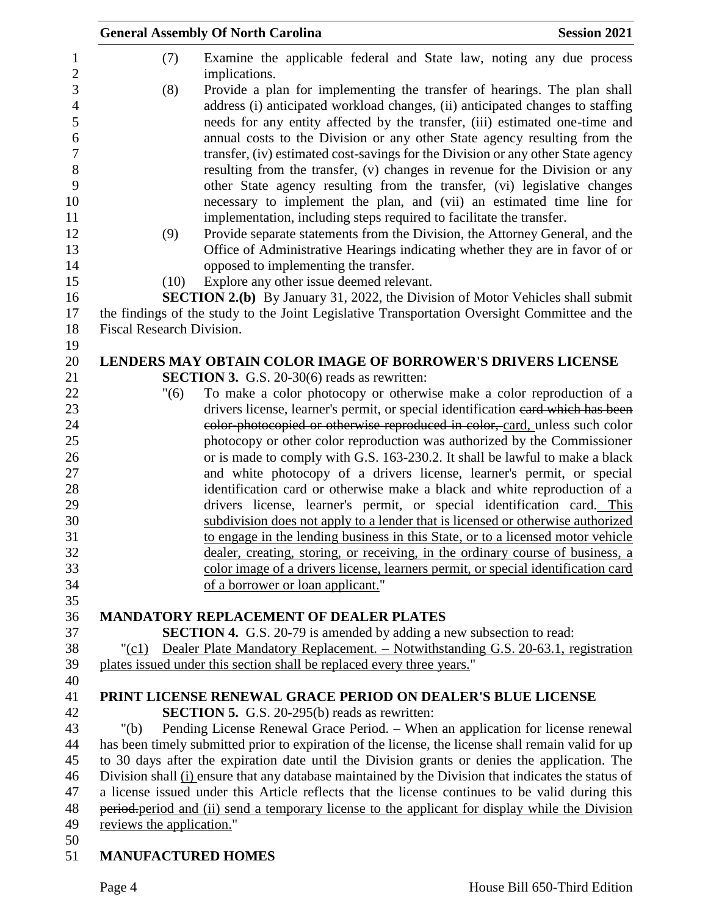|                           | <b>General Assembly Of North Carolina</b>                                                                                                                                                                                                                                                                                                                                                                                                                                                                                                                                                                                                                                                                              | <b>Session 2021</b> |
|---------------------------|------------------------------------------------------------------------------------------------------------------------------------------------------------------------------------------------------------------------------------------------------------------------------------------------------------------------------------------------------------------------------------------------------------------------------------------------------------------------------------------------------------------------------------------------------------------------------------------------------------------------------------------------------------------------------------------------------------------------|---------------------|
| (7)                       | Examine the applicable federal and State law, noting any due process<br>implications.                                                                                                                                                                                                                                                                                                                                                                                                                                                                                                                                                                                                                                  |                     |
| (8)                       | Provide a plan for implementing the transfer of hearings. The plan shall<br>address (i) anticipated workload changes, (ii) anticipated changes to staffing<br>needs for any entity affected by the transfer, (iii) estimated one-time and<br>annual costs to the Division or any other State agency resulting from the<br>transfer, (iv) estimated cost-savings for the Division or any other State agency<br>resulting from the transfer, (v) changes in revenue for the Division or any<br>other State agency resulting from the transfer, (vi) legislative changes<br>necessary to implement the plan, and (vii) an estimated time line for<br>implementation, including steps required to facilitate the transfer. |                     |
| (9)                       | Provide separate statements from the Division, the Attorney General, and the<br>Office of Administrative Hearings indicating whether they are in favor of or                                                                                                                                                                                                                                                                                                                                                                                                                                                                                                                                                           |                     |
|                           | opposed to implementing the transfer.                                                                                                                                                                                                                                                                                                                                                                                                                                                                                                                                                                                                                                                                                  |                     |
| (10)                      | Explore any other issue deemed relevant.                                                                                                                                                                                                                                                                                                                                                                                                                                                                                                                                                                                                                                                                               |                     |
|                           | <b>SECTION 2.(b)</b> By January 31, 2022, the Division of Motor Vehicles shall submit<br>the findings of the study to the Joint Legislative Transportation Oversight Committee and the                                                                                                                                                                                                                                                                                                                                                                                                                                                                                                                                 |                     |
| Fiscal Research Division. |                                                                                                                                                                                                                                                                                                                                                                                                                                                                                                                                                                                                                                                                                                                        |                     |
|                           |                                                                                                                                                                                                                                                                                                                                                                                                                                                                                                                                                                                                                                                                                                                        |                     |
|                           | <b>LENDERS MAY OBTAIN COLOR IMAGE OF BORROWER'S DRIVERS LICENSE</b>                                                                                                                                                                                                                                                                                                                                                                                                                                                                                                                                                                                                                                                    |                     |
|                           | <b>SECTION 3.</b> G.S. 20-30(6) reads as rewritten:                                                                                                                                                                                                                                                                                                                                                                                                                                                                                                                                                                                                                                                                    |                     |
| "(6)                      | To make a color photocopy or otherwise make a color reproduction of a                                                                                                                                                                                                                                                                                                                                                                                                                                                                                                                                                                                                                                                  |                     |
|                           | drivers license, learner's permit, or special identification eard which has been                                                                                                                                                                                                                                                                                                                                                                                                                                                                                                                                                                                                                                       |                     |
|                           | eolor-photocopied or otherwise reproduced in color, card, unless such color                                                                                                                                                                                                                                                                                                                                                                                                                                                                                                                                                                                                                                            |                     |
|                           | photocopy or other color reproduction was authorized by the Commissioner                                                                                                                                                                                                                                                                                                                                                                                                                                                                                                                                                                                                                                               |                     |
|                           | or is made to comply with G.S. 163-230.2. It shall be lawful to make a black                                                                                                                                                                                                                                                                                                                                                                                                                                                                                                                                                                                                                                           |                     |
|                           | and white photocopy of a drivers license, learner's permit, or special                                                                                                                                                                                                                                                                                                                                                                                                                                                                                                                                                                                                                                                 |                     |
|                           | identification card or otherwise make a black and white reproduction of a                                                                                                                                                                                                                                                                                                                                                                                                                                                                                                                                                                                                                                              |                     |
|                           | drivers license, learner's permit, or special identification card. This<br>subdivision does not apply to a lender that is licensed or otherwise authorized                                                                                                                                                                                                                                                                                                                                                                                                                                                                                                                                                             |                     |
|                           | to engage in the lending business in this State, or to a licensed motor vehicle                                                                                                                                                                                                                                                                                                                                                                                                                                                                                                                                                                                                                                        |                     |
|                           | dealer, creating, storing, or receiving, in the ordinary course of business, a                                                                                                                                                                                                                                                                                                                                                                                                                                                                                                                                                                                                                                         |                     |
|                           | color image of a drivers license, learners permit, or special identification card                                                                                                                                                                                                                                                                                                                                                                                                                                                                                                                                                                                                                                      |                     |
|                           | of a borrower or loan applicant."                                                                                                                                                                                                                                                                                                                                                                                                                                                                                                                                                                                                                                                                                      |                     |
|                           |                                                                                                                                                                                                                                                                                                                                                                                                                                                                                                                                                                                                                                                                                                                        |                     |
|                           | <b>MANDATORY REPLACEMENT OF DEALER PLATES</b>                                                                                                                                                                                                                                                                                                                                                                                                                                                                                                                                                                                                                                                                          |                     |
|                           | <b>SECTION 4.</b> G.S. 20-79 is amended by adding a new subsection to read:                                                                                                                                                                                                                                                                                                                                                                                                                                                                                                                                                                                                                                            |                     |
| "(c1)                     | Dealer Plate Mandatory Replacement. - Notwithstanding G.S. 20-63.1, registration                                                                                                                                                                                                                                                                                                                                                                                                                                                                                                                                                                                                                                       |                     |
|                           | plates issued under this section shall be replaced every three years."                                                                                                                                                                                                                                                                                                                                                                                                                                                                                                                                                                                                                                                 |                     |
|                           |                                                                                                                                                                                                                                                                                                                                                                                                                                                                                                                                                                                                                                                                                                                        |                     |
|                           | PRINT LICENSE RENEWAL GRACE PERIOD ON DEALER'S BLUE LICENSE                                                                                                                                                                                                                                                                                                                                                                                                                                                                                                                                                                                                                                                            |                     |
|                           | <b>SECTION 5.</b> G.S. 20-295(b) reads as rewritten:                                                                                                                                                                                                                                                                                                                                                                                                                                                                                                                                                                                                                                                                   |                     |
| " $(b)$                   | Pending License Renewal Grace Period. - When an application for license renewal                                                                                                                                                                                                                                                                                                                                                                                                                                                                                                                                                                                                                                        |                     |
|                           | has been timely submitted prior to expiration of the license, the license shall remain valid for up                                                                                                                                                                                                                                                                                                                                                                                                                                                                                                                                                                                                                    |                     |
|                           | to 30 days after the expiration date until the Division grants or denies the application. The<br>Division shall (i) ensure that any database maintained by the Division that indicates the status of                                                                                                                                                                                                                                                                                                                                                                                                                                                                                                                   |                     |
|                           | a license issued under this Article reflects that the license continues to be valid during this                                                                                                                                                                                                                                                                                                                                                                                                                                                                                                                                                                                                                        |                     |
|                           | period-period and (ii) send a temporary license to the applicant for display while the Division                                                                                                                                                                                                                                                                                                                                                                                                                                                                                                                                                                                                                        |                     |
| reviews the application." |                                                                                                                                                                                                                                                                                                                                                                                                                                                                                                                                                                                                                                                                                                                        |                     |
| <b>MANUFACTURED HOMES</b> |                                                                                                                                                                                                                                                                                                                                                                                                                                                                                                                                                                                                                                                                                                                        |                     |
|                           |                                                                                                                                                                                                                                                                                                                                                                                                                                                                                                                                                                                                                                                                                                                        |                     |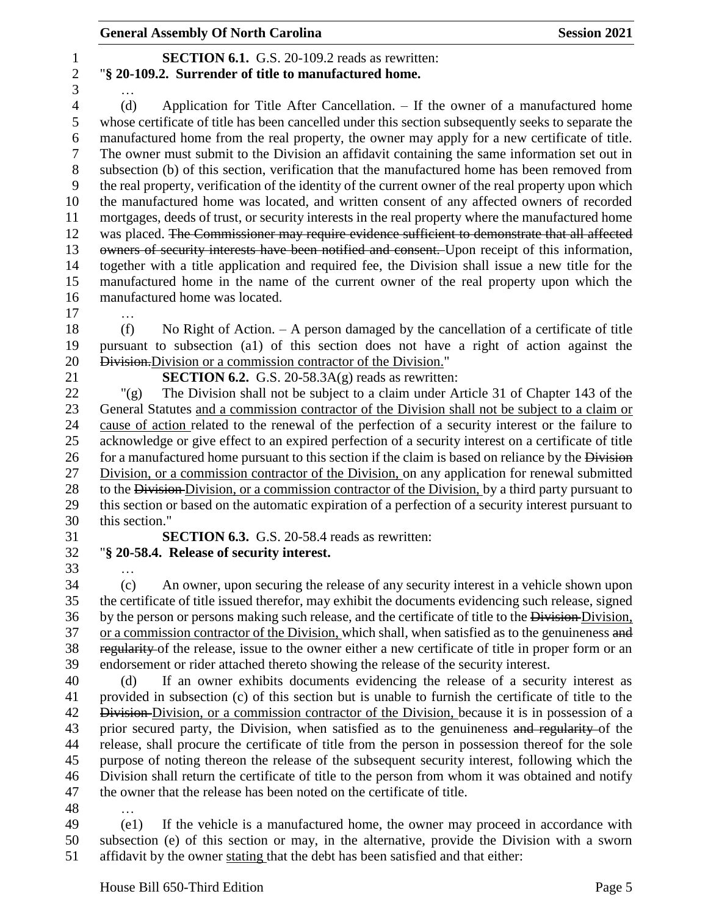#### General Assembly Of North Carolina **Session 2021**

#### **SECTION 6.1.** G.S. 20-109.2 reads as rewritten: "**§ 20-109.2. Surrender of title to manufactured home.**

…

 (d) Application for Title After Cancellation. – If the owner of a manufactured home whose certificate of title has been cancelled under this section subsequently seeks to separate the manufactured home from the real property, the owner may apply for a new certificate of title. The owner must submit to the Division an affidavit containing the same information set out in subsection (b) of this section, verification that the manufactured home has been removed from the real property, verification of the identity of the current owner of the real property upon which the manufactured home was located, and written consent of any affected owners of recorded mortgages, deeds of trust, or security interests in the real property where the manufactured home 12 was placed. The Commissioner may require evidence sufficient to demonstrate that all affected owners of security interests have been notified and consent. Upon receipt of this information, together with a title application and required fee, the Division shall issue a new title for the manufactured home in the name of the current owner of the real property upon which the manufactured home was located.

…

 (f) No Right of Action. – A person damaged by the cancellation of a certificate of title pursuant to subsection (a1) of this section does not have a right of action against the Division.Division or a commission contractor of the Division."

**SECTION 6.2.** G.S. 20-58.3A(g) reads as rewritten:

 "(g) The Division shall not be subject to a claim under Article 31 of Chapter 143 of the General Statutes and a commission contractor of the Division shall not be subject to a claim or cause of action related to the renewal of the perfection of a security interest or the failure to acknowledge or give effect to an expired perfection of a security interest on a certificate of title 26 for a manufactured home pursuant to this section if the claim is based on reliance by the Division Division, or a commission contractor of the Division, on any application for renewal submitted 28 to the Division-Division, or a commission contractor of the Division, by a third party pursuant to this section or based on the automatic expiration of a perfection of a security interest pursuant to this section."

**SECTION 6.3.** G.S. 20-58.4 reads as rewritten:

# "**§ 20-58.4. Release of security interest.**

…

 (c) An owner, upon securing the release of any security interest in a vehicle shown upon the certificate of title issued therefor, may exhibit the documents evidencing such release, signed 36 by the person or persons making such release, and the certificate of title to the Division-Division, 37 or a commission contractor of the Division, which shall, when satisfied as to the genuineness and regularity of the release, issue to the owner either a new certificate of title in proper form or an endorsement or rider attached thereto showing the release of the security interest.

 (d) If an owner exhibits documents evidencing the release of a security interest as provided in subsection (c) of this section but is unable to furnish the certificate of title to the 42 Division-Division, or a commission contractor of the Division, because it is in possession of a 43 prior secured party, the Division, when satisfied as to the genuineness and regularity of the release, shall procure the certificate of title from the person in possession thereof for the sole purpose of noting thereon the release of the subsequent security interest, following which the Division shall return the certificate of title to the person from whom it was obtained and notify the owner that the release has been noted on the certificate of title.

…

 (e1) If the vehicle is a manufactured home, the owner may proceed in accordance with subsection (e) of this section or may, in the alternative, provide the Division with a sworn affidavit by the owner stating that the debt has been satisfied and that either: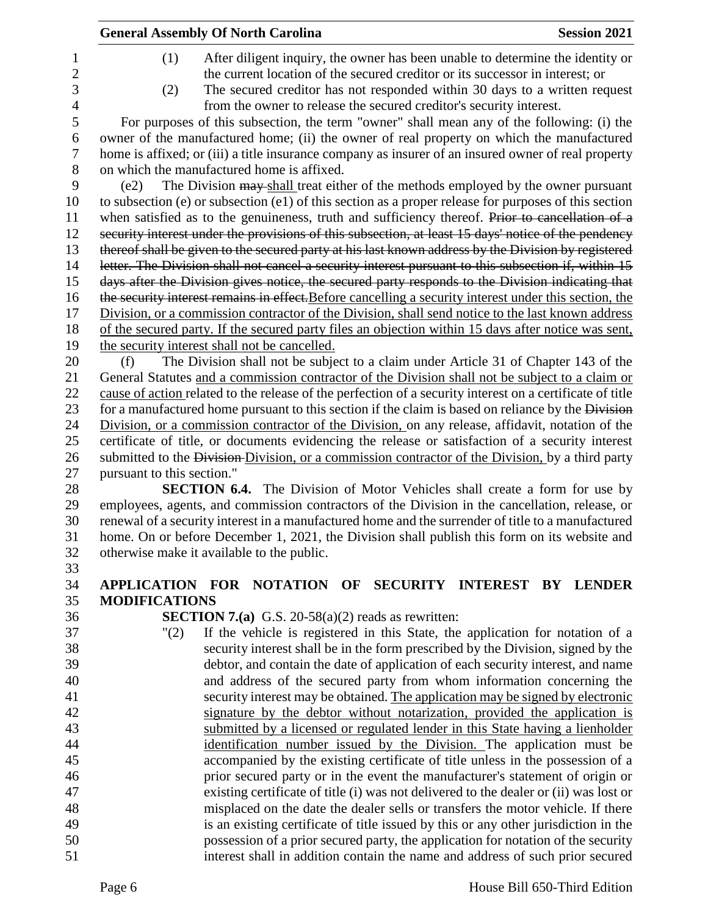|                |                            | <b>General Assembly Of North Carolina</b>                                                                                                                           | <b>Session 2021</b> |
|----------------|----------------------------|---------------------------------------------------------------------------------------------------------------------------------------------------------------------|---------------------|
| 1              | (1)                        | After diligent inquiry, the owner has been unable to determine the identity or                                                                                      |                     |
| $\overline{c}$ |                            | the current location of the secured creditor or its successor in interest; or                                                                                       |                     |
| 3              | (2)                        | The secured creditor has not responded within 30 days to a written request                                                                                          |                     |
| $\overline{4}$ |                            | from the owner to release the secured creditor's security interest.                                                                                                 |                     |
| 5              |                            | For purposes of this subsection, the term "owner" shall mean any of the following: (i) the                                                                          |                     |
| 6              |                            | owner of the manufactured home; (ii) the owner of real property on which the manufactured                                                                           |                     |
| 7              |                            | home is affixed; or (iii) a title insurance company as insurer of an insured owner of real property                                                                 |                     |
| 8              |                            | on which the manufactured home is affixed.                                                                                                                          |                     |
| 9              | (e2)                       | The Division may shall treat either of the methods employed by the owner pursuant                                                                                   |                     |
| 10             |                            | to subsection (e) or subsection (e1) of this section as a proper release for purposes of this section                                                               |                     |
| 11             |                            | when satisfied as to the genuineness, truth and sufficiency thereof. Prior to cancellation of a                                                                     |                     |
| 12             |                            | security interest under the provisions of this subsection, at least 15 days' notice of the pendency                                                                 |                     |
| 13             |                            | thereof shall be given to the secured party at his last known address by the Division by registered                                                                 |                     |
| 14             |                            | letter. The Division shall not cancel a security interest pursuant to this subsection if, within 15                                                                 |                     |
| 15             |                            | days after the Division gives notice, the secured party responds to the Division indicating that                                                                    |                     |
| 16             |                            | the security interest remains in effect. Before cancelling a security interest under this section, the                                                              |                     |
| 17             |                            | Division, or a commission contractor of the Division, shall send notice to the last known address                                                                   |                     |
| 18             |                            | of the secured party. If the secured party files an objection within 15 days after notice was sent,                                                                 |                     |
| 19             |                            | the security interest shall not be cancelled.                                                                                                                       |                     |
| 20             | (f)                        | The Division shall not be subject to a claim under Article 31 of Chapter 143 of the                                                                                 |                     |
| 21             |                            | General Statutes and a commission contractor of the Division shall not be subject to a claim or                                                                     |                     |
| 22             |                            | cause of action related to the release of the perfection of a security interest on a certificate of title                                                           |                     |
| 23             |                            | for a manufactured home pursuant to this section if the claim is based on reliance by the Division                                                                  |                     |
| 24             |                            | Division, or a commission contractor of the Division, on any release, affidavit, notation of the                                                                    |                     |
| 25             |                            | certificate of title, or documents evidencing the release or satisfaction of a security interest                                                                    |                     |
| 26             |                            | submitted to the Division-Division, or a commission contractor of the Division, by a third party                                                                    |                     |
| 27             | pursuant to this section." |                                                                                                                                                                     |                     |
| 28             |                            | <b>SECTION 6.4.</b> The Division of Motor Vehicles shall create a form for use by                                                                                   |                     |
| 29             |                            | employees, agents, and commission contractors of the Division in the cancellation, release, or                                                                      |                     |
| 30             |                            | renewal of a security interest in a manufactured home and the surrender of title to a manufactured                                                                  |                     |
| 31             |                            | home. On or before December 1, 2021, the Division shall publish this form on its website and                                                                        |                     |
| 32             |                            | otherwise make it available to the public.                                                                                                                          |                     |
| 33             |                            |                                                                                                                                                                     |                     |
| 34             |                            | APPLICATION FOR NOTATION OF SECURITY INTEREST BY LENDER                                                                                                             |                     |
| 35             | <b>MODIFICATIONS</b>       |                                                                                                                                                                     |                     |
| 36             |                            | <b>SECTION 7.(a)</b> G.S. 20-58(a)(2) reads as rewritten:                                                                                                           |                     |
| 37<br>38       | "(2)                       | If the vehicle is registered in this State, the application for notation of a                                                                                       |                     |
| 39             |                            | security interest shall be in the form prescribed by the Division, signed by the<br>debtor, and contain the date of application of each security interest, and name |                     |
| 40             |                            | and address of the secured party from whom information concerning the                                                                                               |                     |
| 41             |                            | security interest may be obtained. The application may be signed by electronic                                                                                      |                     |
| 42             |                            | signature by the debtor without notarization, provided the application is                                                                                           |                     |
| 43             |                            | submitted by a licensed or regulated lender in this State having a lienholder                                                                                       |                     |
| 44             |                            | identification number issued by the Division. The application must be                                                                                               |                     |
| 45             |                            | accompanied by the existing certificate of title unless in the possession of a                                                                                      |                     |
| 46             |                            | prior secured party or in the event the manufacturer's statement of origin or                                                                                       |                     |
| 47             |                            | existing certificate of title (i) was not delivered to the dealer or (ii) was lost or                                                                               |                     |
| 48             |                            | misplaced on the date the dealer sells or transfers the motor vehicle. If there                                                                                     |                     |
| 49             |                            | is an existing certificate of title issued by this or any other jurisdiction in the                                                                                 |                     |
| 50             |                            | possession of a prior secured party, the application for notation of the security                                                                                   |                     |
| 51             |                            | interest shall in addition contain the name and address of such prior secured                                                                                       |                     |
|                |                            |                                                                                                                                                                     |                     |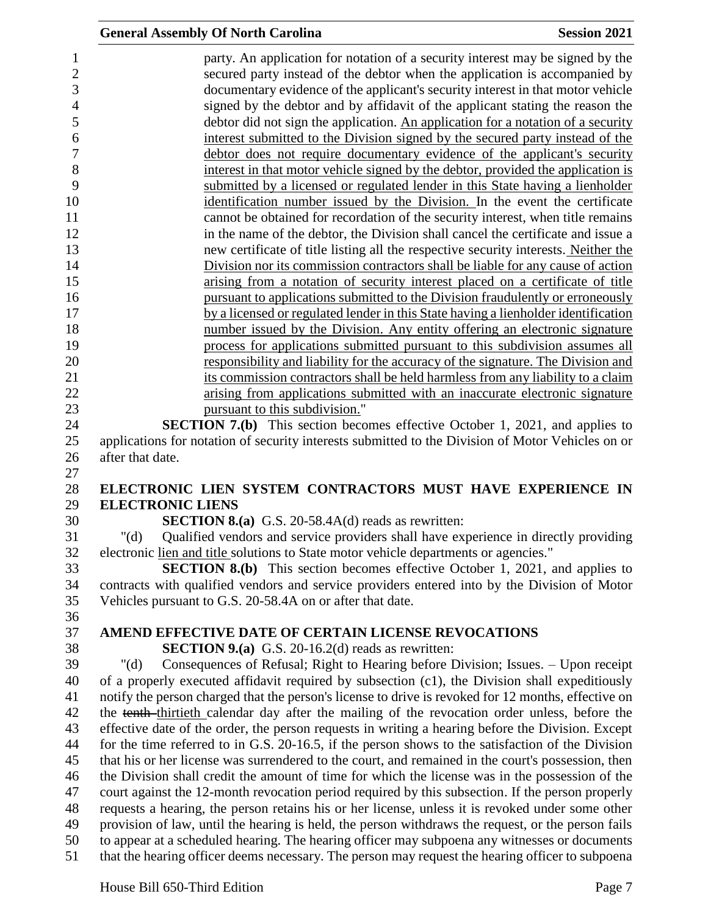|                                     | <b>General Assembly Of North Carolina</b>                                                                                                                                                                                                                                     | <b>Session 2021</b> |
|-------------------------------------|-------------------------------------------------------------------------------------------------------------------------------------------------------------------------------------------------------------------------------------------------------------------------------|---------------------|
| $\mathbf{1}$<br>$\overline{2}$<br>3 | party. An application for notation of a security interest may be signed by the<br>secured party instead of the debtor when the application is accompanied by<br>documentary evidence of the applicant's security interest in that motor vehicle                               |                     |
| $\overline{4}$<br>5                 | signed by the debtor and by affidavit of the applicant stating the reason the<br>debtor did not sign the application. An application for a notation of a security                                                                                                             |                     |
| 6<br>$\overline{7}$                 | interest submitted to the Division signed by the secured party instead of the<br>debtor does not require documentary evidence of the applicant's security                                                                                                                     |                     |
| 8<br>9                              | interest in that motor vehicle signed by the debtor, provided the application is<br>submitted by a licensed or regulated lender in this State having a lienholder                                                                                                             |                     |
| 10<br>11                            | identification number issued by the Division. In the event the certificate<br>cannot be obtained for recordation of the security interest, when title remains                                                                                                                 |                     |
| 12<br>13                            | in the name of the debtor, the Division shall cancel the certificate and issue a<br>new certificate of title listing all the respective security interests. Neither the                                                                                                       |                     |
| 14                                  | Division nor its commission contractors shall be liable for any cause of action                                                                                                                                                                                               |                     |
| 15<br>16                            | arising from a notation of security interest placed on a certificate of title<br>pursuant to applications submitted to the Division fraudulently or erroneously                                                                                                               |                     |
| 17<br>18                            | by a licensed or regulated lender in this State having a lienholder identification<br>number issued by the Division. Any entity offering an electronic signature                                                                                                              |                     |
| 19<br>20                            | process for applications submitted pursuant to this subdivision assumes all<br>responsibility and liability for the accuracy of the signature. The Division and                                                                                                               |                     |
| 21<br>22                            | its commission contractors shall be held harmless from any liability to a claim<br>arising from applications submitted with an inaccurate electronic signature                                                                                                                |                     |
| 23<br>24                            | pursuant to this subdivision."<br><b>SECTION 7.(b)</b> This section becomes effective October 1, 2021, and applies to                                                                                                                                                         |                     |
| 25<br>26                            | applications for notation of security interests submitted to the Division of Motor Vehicles on or<br>after that date.                                                                                                                                                         |                     |
| 27                                  |                                                                                                                                                                                                                                                                               |                     |
| 28<br>29                            | ELECTRONIC LIEN SYSTEM CONTRACTORS MUST HAVE EXPERIENCE IN<br><b>ELECTRONIC LIENS</b>                                                                                                                                                                                         |                     |
| 30                                  | <b>SECTION 8.(a)</b> G.S. 20-58.4A(d) reads as rewritten:                                                                                                                                                                                                                     |                     |
| 31<br>32<br>33                      | " $(d)$<br>Qualified vendors and service providers shall have experience in directly providing<br>electronic lien and title solutions to State motor vehicle departments or agencies."<br><b>SECTION 8.(b)</b> This section becomes effective October 1, 2021, and applies to |                     |
| 34<br>35                            | contracts with qualified vendors and service providers entered into by the Division of Motor<br>Vehicles pursuant to G.S. 20-58.4A on or after that date.                                                                                                                     |                     |
| 36                                  |                                                                                                                                                                                                                                                                               |                     |
| 37<br>38                            | AMEND EFFECTIVE DATE OF CERTAIN LICENSE REVOCATIONS<br><b>SECTION 9.(a)</b> G.S. 20-16.2(d) reads as rewritten:                                                                                                                                                               |                     |
| 39                                  | Consequences of Refusal; Right to Hearing before Division; Issues. - Upon receipt<br>" $(d)$                                                                                                                                                                                  |                     |
| 40                                  | of a properly executed affidavit required by subsection (c1), the Division shall expeditiously                                                                                                                                                                                |                     |
| 41                                  | notify the person charged that the person's license to drive is revoked for 12 months, effective on                                                                                                                                                                           |                     |
| 42                                  | the tenth-thirtieth calendar day after the mailing of the revocation order unless, before the                                                                                                                                                                                 |                     |
| 43                                  | effective date of the order, the person requests in writing a hearing before the Division. Except                                                                                                                                                                             |                     |
| 44                                  | for the time referred to in G.S. 20-16.5, if the person shows to the satisfaction of the Division                                                                                                                                                                             |                     |
| 45                                  | that his or her license was surrendered to the court, and remained in the court's possession, then                                                                                                                                                                            |                     |
| 46                                  | the Division shall credit the amount of time for which the license was in the possession of the                                                                                                                                                                               |                     |
| 47                                  | court against the 12-month revocation period required by this subsection. If the person properly                                                                                                                                                                              |                     |
| 48                                  | requests a hearing, the person retains his or her license, unless it is revoked under some other                                                                                                                                                                              |                     |
| 49                                  | provision of law, until the hearing is held, the person withdraws the request, or the person fails                                                                                                                                                                            |                     |
| 50<br>51                            | to appear at a scheduled hearing. The hearing officer may subpoena any witnesses or documents<br>that the hearing officer deems necessary. The person may request the hearing officer to subpoena                                                                             |                     |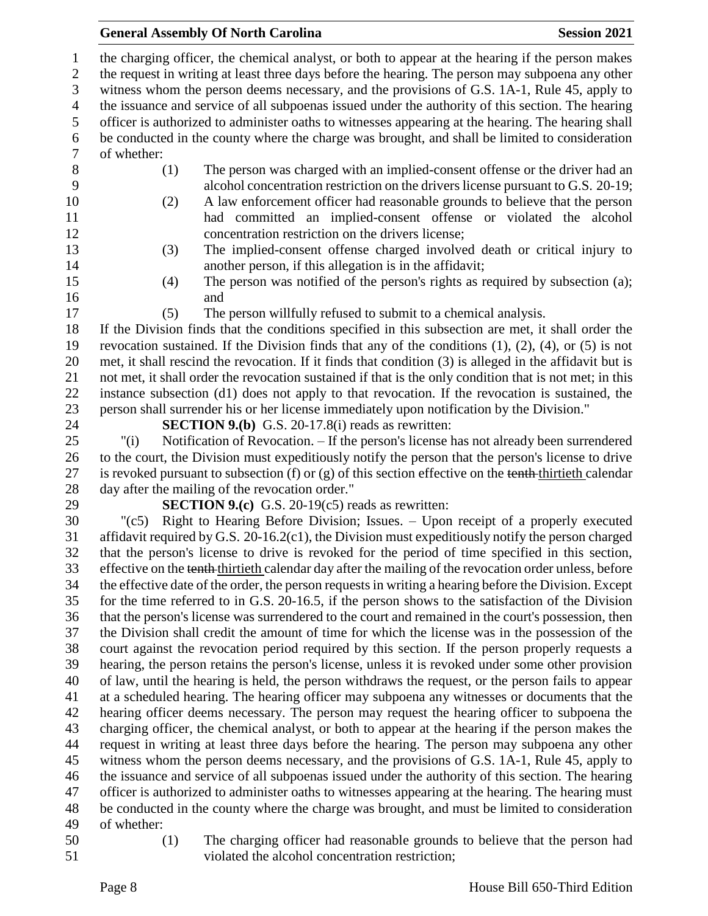#### General Assembly Of North Carolina **Session 2021**

 the charging officer, the chemical analyst, or both to appear at the hearing if the person makes the request in writing at least three days before the hearing. The person may subpoena any other witness whom the person deems necessary, and the provisions of G.S. 1A-1, Rule 45, apply to the issuance and service of all subpoenas issued under the authority of this section. The hearing officer is authorized to administer oaths to witnesses appearing at the hearing. The hearing shall be conducted in the county where the charge was brought, and shall be limited to consideration of whether: (1) The person was charged with an implied-consent offense or the driver had an alcohol concentration restriction on the drivers license pursuant to G.S. 20-19; (2) A law enforcement officer had reasonable grounds to believe that the person had committed an implied-consent offense or violated the alcohol concentration restriction on the drivers license; (3) The implied-consent offense charged involved death or critical injury to another person, if this allegation is in the affidavit; (4) The person was notified of the person's rights as required by subsection (a); and (5) The person willfully refused to submit to a chemical analysis. If the Division finds that the conditions specified in this subsection are met, it shall order the revocation sustained. If the Division finds that any of the conditions (1), (2), (4), or (5) is not met, it shall rescind the revocation. If it finds that condition (3) is alleged in the affidavit but is not met, it shall order the revocation sustained if that is the only condition that is not met; in this instance subsection (d1) does not apply to that revocation. If the revocation is sustained, the person shall surrender his or her license immediately upon notification by the Division." **SECTION 9.(b)** G.S. 20-17.8(i) reads as rewritten: "(i) Notification of Revocation. – If the person's license has not already been surrendered to the court, the Division must expeditiously notify the person that the person's license to drive 27 is revoked pursuant to subsection (f) or  $(g)$  of this section effective on the tenth-thirtieth calendar day after the mailing of the revocation order." **SECTION 9.(c)** G.S. 20-19(c5) reads as rewritten: "(c5) Right to Hearing Before Division; Issues. – Upon receipt of a properly executed affidavit required by G.S. 20-16.2(c1), the Division must expeditiously notify the person charged that the person's license to drive is revoked for the period of time specified in this section, 33 effective on the tenth-thirtieth calendar day after the mailing of the revocation order unless, before the effective date of the order, the person requests in writing a hearing before the Division. Except for the time referred to in G.S. 20-16.5, if the person shows to the satisfaction of the Division that the person's license was surrendered to the court and remained in the court's possession, then the Division shall credit the amount of time for which the license was in the possession of the court against the revocation period required by this section. If the person properly requests a hearing, the person retains the person's license, unless it is revoked under some other provision of law, until the hearing is held, the person withdraws the request, or the person fails to appear at a scheduled hearing. The hearing officer may subpoena any witnesses or documents that the hearing officer deems necessary. The person may request the hearing officer to subpoena the charging officer, the chemical analyst, or both to appear at the hearing if the person makes the request in writing at least three days before the hearing. The person may subpoena any other witness whom the person deems necessary, and the provisions of G.S. 1A-1, Rule 45, apply to the issuance and service of all subpoenas issued under the authority of this section. The hearing officer is authorized to administer oaths to witnesses appearing at the hearing. The hearing must be conducted in the county where the charge was brought, and must be limited to consideration of whether: (1) The charging officer had reasonable grounds to believe that the person had

violated the alcohol concentration restriction;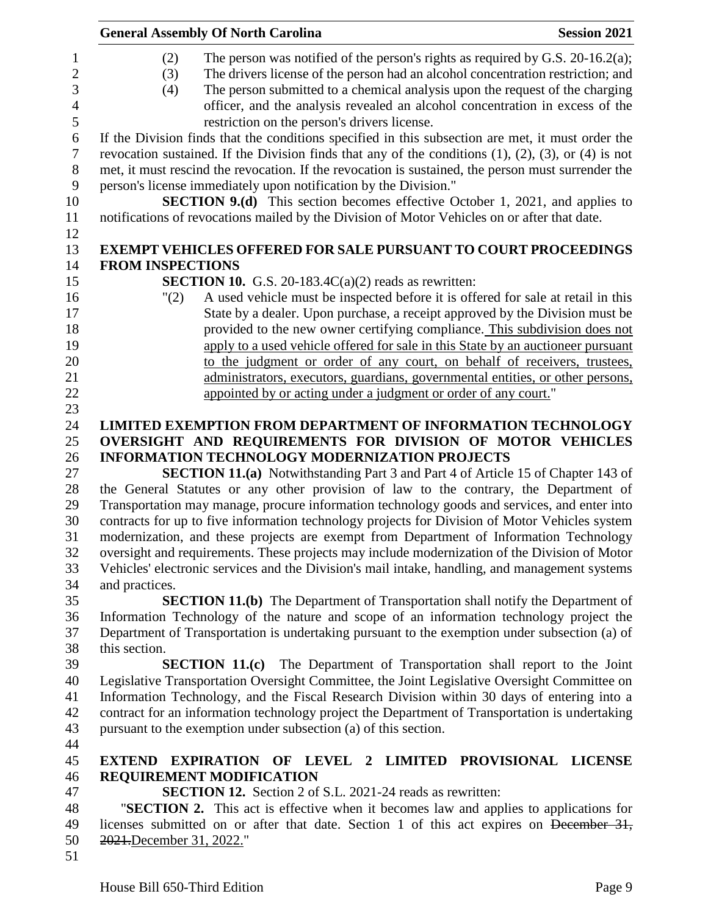|                | <b>General Assembly Of North Carolina</b><br><b>Session 2021</b>                                               |  |
|----------------|----------------------------------------------------------------------------------------------------------------|--|
| 1              | The person was notified of the person's rights as required by G.S. $20-16.2(a)$ ;<br>(2)                       |  |
| $\overline{c}$ | The drivers license of the person had an alcohol concentration restriction; and<br>(3)                         |  |
| 3              | The person submitted to a chemical analysis upon the request of the charging<br>(4)                            |  |
| $\overline{4}$ | officer, and the analysis revealed an alcohol concentration in excess of the                                   |  |
| 5              | restriction on the person's drivers license.                                                                   |  |
| 6              | If the Division finds that the conditions specified in this subsection are met, it must order the              |  |
| $\tau$         | revocation sustained. If the Division finds that any of the conditions $(1)$ , $(2)$ , $(3)$ , or $(4)$ is not |  |
| $8\,$          | met, it must rescind the revocation. If the revocation is sustained, the person must surrender the             |  |
| 9              | person's license immediately upon notification by the Division."                                               |  |
| 10             | <b>SECTION 9.(d)</b> This section becomes effective October 1, 2021, and applies to                            |  |
| 11<br>12       | notifications of revocations mailed by the Division of Motor Vehicles on or after that date.                   |  |
| 13             | <b>EXEMPT VEHICLES OFFERED FOR SALE PURSUANT TO COURT PROCEEDINGS</b>                                          |  |
| 14             | <b>FROM INSPECTIONS</b>                                                                                        |  |
| 15             | <b>SECTION 10.</b> G.S. 20-183.4 $C(a)(2)$ reads as rewritten:                                                 |  |
| 16             | A used vehicle must be inspected before it is offered for sale at retail in this<br>"(2)                       |  |
| 17             | State by a dealer. Upon purchase, a receipt approved by the Division must be                                   |  |
| 18             | provided to the new owner certifying compliance. This subdivision does not                                     |  |
| 19             | apply to a used vehicle offered for sale in this State by an auctioneer pursuant                               |  |
| 20             | to the judgment or order of any court, on behalf of receivers, trustees,                                       |  |
| 21             | administrators, executors, guardians, governmental entities, or other persons,                                 |  |
| 22             | appointed by or acting under a judgment or order of any court."                                                |  |
| 23             |                                                                                                                |  |
| 24             | <b>LIMITED EXEMPTION FROM DEPARTMENT OF INFORMATION TECHNOLOGY</b>                                             |  |
| 25             | OVERSIGHT AND REQUIREMENTS FOR DIVISION OF MOTOR VEHICLES                                                      |  |
| 26             | <b>INFORMATION TECHNOLOGY MODERNIZATION PROJECTS</b>                                                           |  |
| 27             | <b>SECTION 11.(a)</b> Notwithstanding Part 3 and Part 4 of Article 15 of Chapter 143 of                        |  |
| 28             | the General Statutes or any other provision of law to the contrary, the Department of                          |  |
| 29             | Transportation may manage, procure information technology goods and services, and enter into                   |  |
| 30             | contracts for up to five information technology projects for Division of Motor Vehicles system                 |  |
| 31             | modernization, and these projects are exempt from Department of Information Technology                         |  |
| 32             | oversight and requirements. These projects may include modernization of the Division of Motor                  |  |
| 33             | Vehicles' electronic services and the Division's mail intake, handling, and management systems                 |  |
| 34             | and practices.                                                                                                 |  |
| 35             | <b>SECTION 11.(b)</b> The Department of Transportation shall notify the Department of                          |  |
| 36             | Information Technology of the nature and scope of an information technology project the                        |  |
| 37             | Department of Transportation is undertaking pursuant to the exemption under subsection (a) of                  |  |
| 38             | this section.                                                                                                  |  |
| 39             | <b>SECTION 11.(c)</b> The Department of Transportation shall report to the Joint                               |  |
| 40             | Legislative Transportation Oversight Committee, the Joint Legislative Oversight Committee on                   |  |
| 41             | Information Technology, and the Fiscal Research Division within 30 days of entering into a                     |  |
| 42             | contract for an information technology project the Department of Transportation is undertaking                 |  |
| 43             | pursuant to the exemption under subsection (a) of this section.                                                |  |
| 44             |                                                                                                                |  |
| 45             | <b>EXTEND EXPIRATION OF LEVEL 2 LIMITED PROVISIONAL LICENSE</b>                                                |  |
| 46             | <b>REQUIREMENT MODIFICATION</b>                                                                                |  |
| 47             | <b>SECTION 12.</b> Section 2 of S.L. 2021-24 reads as rewritten:                                               |  |
| 48             | "SECTION 2. This act is effective when it becomes law and applies to applications for                          |  |
| 49             | licenses submitted on or after that date. Section 1 of this act expires on December 31,                        |  |
| 50             | 2021.December 31, 2022."                                                                                       |  |
| 51             |                                                                                                                |  |